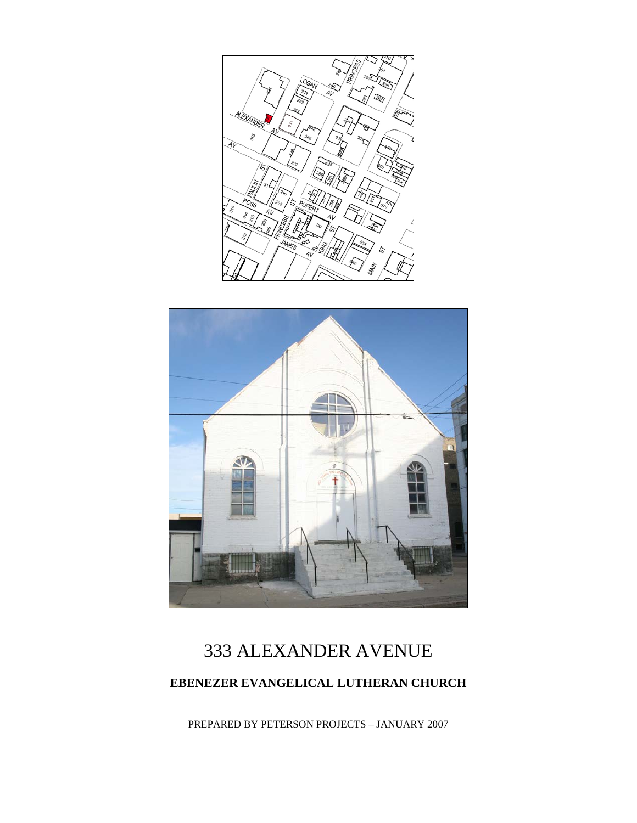



# 333 ALEXANDER AVENUE **EBENEZER EVANGELICAL LUTHERAN CHURCH**

PREPARED BY PETERSON PROJECTS – JANUARY 2007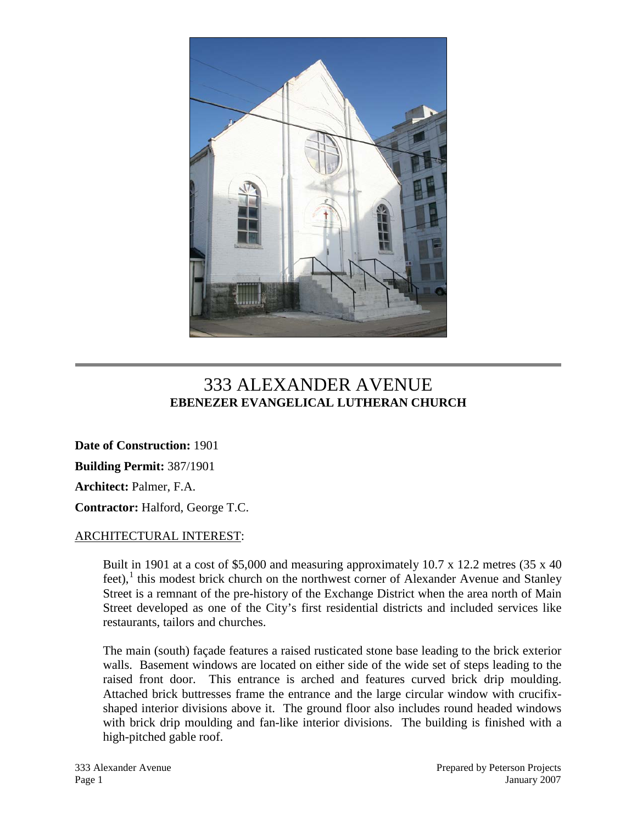

## 333 ALEXANDER AVENUE **EBENEZER EVANGELICAL LUTHERAN CHURCH**

**Date of Construction:** 1901 **Building Permit:** 387/1901 **Architect:** Palmer, F.A. **Contractor:** Halford, George T.C.

#### ARCHITECTURAL INTEREST:

Built in 1901 at a cost of \$5,000 and measuring approximately 10.7 x 12.2 metres (35 x 40  $f$ eet), $\frac{1}{x}$  $\frac{1}{x}$  $\frac{1}{x}$  this modest brick church on the northwest corner of Alexander Avenue and Stanley Street is a remnant of the pre-history of the Exchange District when the area north of Main Street developed as one of the City's first residential districts and included services like restaurants, tailors and churches.

The main (south) façade features a raised rusticated stone base leading to the brick exterior walls. Basement windows are located on either side of the wide set of steps leading to the raised front door. This entrance is arched and features curved brick drip moulding. Attached brick buttresses frame the entrance and the large circular window with crucifixshaped interior divisions above it. The ground floor also includes round headed windows with brick drip moulding and fan-like interior divisions. The building is finished with a high-pitched gable roof.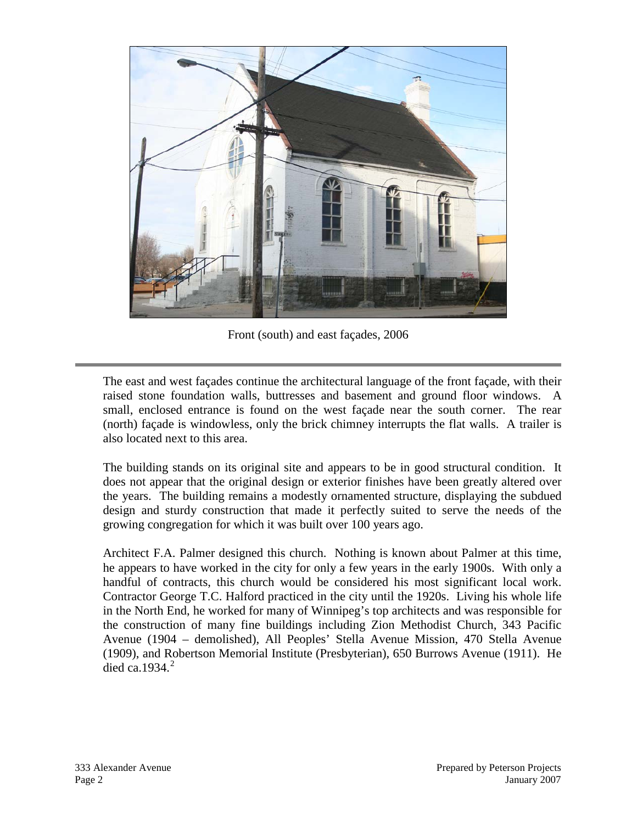

Front (south) and east façades, 2006

The east and west façades continue the architectural language of the front façade, with their raised stone foundation walls, buttresses and basement and ground floor windows. A small, enclosed entrance is found on the west façade near the south corner. The rear (north) façade is windowless, only the brick chimney interrupts the flat walls. A trailer is also located next to this area.

The building stands on its original site and appears to be in good structural condition. It does not appear that the original design or exterior finishes have been greatly altered over the years. The building remains a modestly ornamented structure, displaying the subdued design and sturdy construction that made it perfectly suited to serve the needs of the growing congregation for which it was built over 100 years ago.

Architect F.A. Palmer designed this church. Nothing is known about Palmer at this time, he appears to have worked in the city for only a few years in the early 1900s. With only a handful of contracts, this church would be considered his most significant local work. Contractor George T.C. Halford practiced in the city until the 1920s. Living his whole life in the North End, he worked for many of Winnipeg's top architects and was responsible for the construction of many fine buildings including Zion Methodist Church, 343 Pacific Avenue (1904 – demolished), All Peoples' Stella Avenue Mission, 470 Stella Avenue (1909), and Robertson Memorial Institute (Presbyterian), 650 Burrows Avenue (1911). He died ca.  $1934<sup>2</sup>$  $1934<sup>2</sup>$  $1934<sup>2</sup>$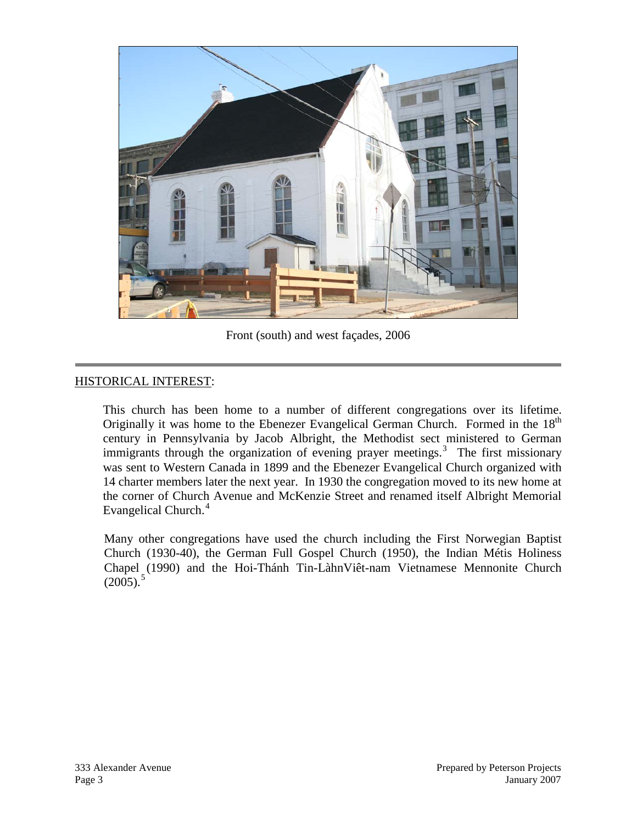

Front (south) and west façades, 2006

### HISTORICAL INTEREST:

This church has been home to a number of different congregations over its lifetime. Originally it was home to the Ebenezer Evangelical German Church. Formed in the 18<sup>th</sup> century in Pennsylvania by Jacob Albright, the Methodist sect ministered to German immigrants through the organization of evening prayer meetings.<sup>[3](#page-5-2)</sup> The first missionary was sent to Western Canada in 1899 and the Ebenezer Evangelical Church organized with 14 charter members later the next year. In 1930 the congregation moved to its new home at the corner of Church Avenue and McKenzie Street and renamed itself Albright Memorial Evangelical Church.<sup>[4](#page-5-3)</sup>

Many other congregations have used the church including the First Norwegian Baptist Church (1930-40), the German Full Gospel Church (1950), the Indian Métis Holiness Chapel (1990) and the Hoi-Thánh Tin-LàhnViêt-nam Vietnamese Mennonite Church  $(2005).$  $(2005).$  $(2005).$ <sup>5</sup>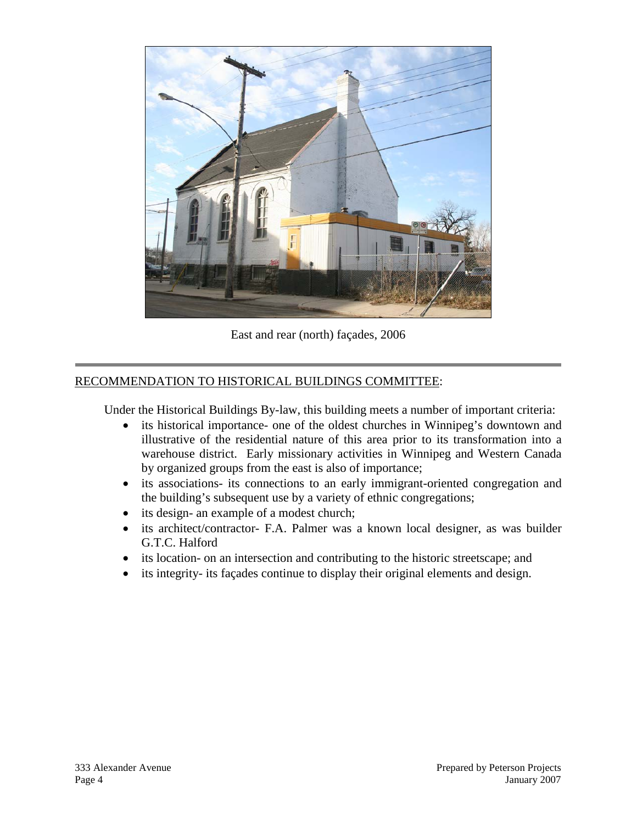

East and rear (north) façades, 2006

### RECOMMENDATION TO HISTORICAL BUILDINGS COMMITTEE:

Under the Historical Buildings By-law, this building meets a number of important criteria:

- its historical importance- one of the oldest churches in Winnipeg's downtown and illustrative of the residential nature of this area prior to its transformation into a warehouse district. Early missionary activities in Winnipeg and Western Canada by organized groups from the east is also of importance;
- its associations- its connections to an early immigrant-oriented congregation and the building's subsequent use by a variety of ethnic congregations;
- its design- an example of a modest church;
- its architect/contractor- F.A. Palmer was a known local designer, as was builder G.T.C. Halford
- its location- on an intersection and contributing to the historic streetscape; and
- its integrity- its façades continue to display their original elements and design.